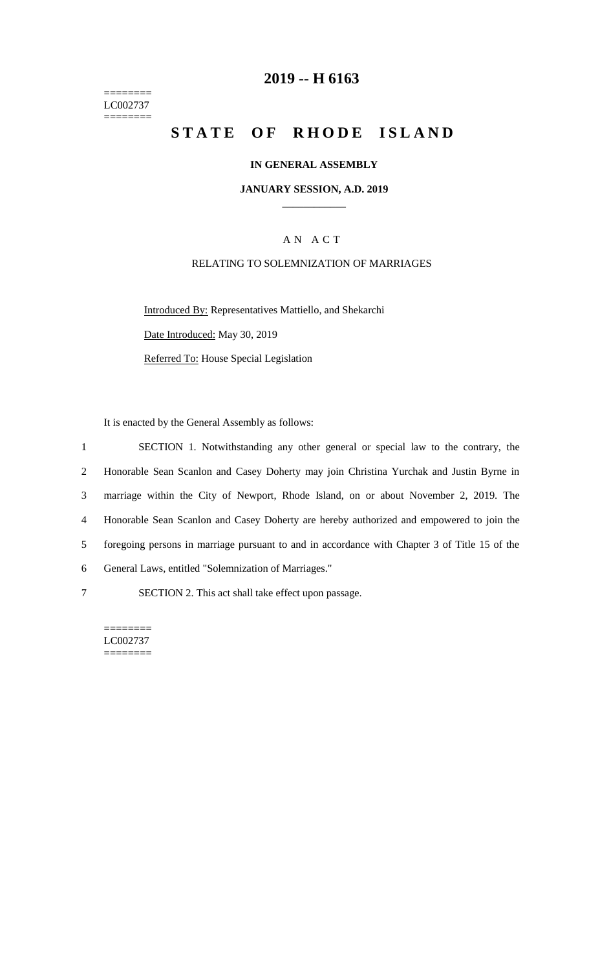======== LC002737  $=$ 

# **2019 -- H 6163**

# **STATE OF RHODE ISLAND**

## **IN GENERAL ASSEMBLY**

### **JANUARY SESSION, A.D. 2019 \_\_\_\_\_\_\_\_\_\_\_\_**

## A N A C T

## RELATING TO SOLEMNIZATION OF MARRIAGES

Introduced By: Representatives Mattiello, and Shekarchi Date Introduced: May 30, 2019 Referred To: House Special Legislation

It is enacted by the General Assembly as follows:

 SECTION 1. Notwithstanding any other general or special law to the contrary, the Honorable Sean Scanlon and Casey Doherty may join Christina Yurchak and Justin Byrne in marriage within the City of Newport, Rhode Island, on or about November 2, 2019. The Honorable Sean Scanlon and Casey Doherty are hereby authorized and empowered to join the foregoing persons in marriage pursuant to and in accordance with Chapter 3 of Title 15 of the General Laws, entitled "Solemnization of Marriages." SECTION 2. This act shall take effect upon passage.

LC002737

======== ========